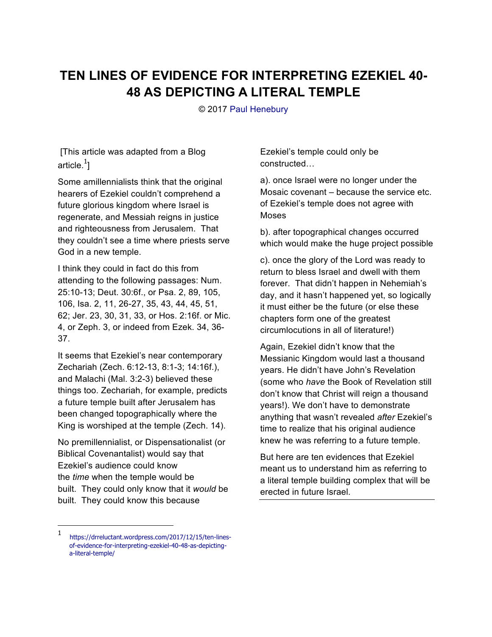## **TEN LINES OF EVIDENCE FOR INTERPRETING EZEKIEL 40- 48 AS DEPICTING A LITERAL TEMPLE**

© 2017 Paul Henebury

 [This article was adapted from a Blog article. $^1\!]$ 

Some amillennialists think that the original hearers of Ezekiel couldn't comprehend a future glorious kingdom where Israel is regenerate, and Messiah reigns in justice and righteousness from Jerusalem. That they couldn't see a time where priests serve God in a new temple.

I think they could in fact do this from attending to the following passages: Num. 25:10-13; Deut. 30:6f., or Psa. 2, 89, 105, 106, Isa. 2, 11, 26-27, 35, 43, 44, 45, 51, 62; Jer. 23, 30, 31, 33, or Hos. 2:16f. or Mic. 4, or Zeph. 3, or indeed from Ezek. 34, 36- 37.

It seems that Ezekiel's near contemporary Zechariah (Zech. 6:12-13, 8:1-3; 14:16f.), and Malachi (Mal. 3:2-3) believed these things too. Zechariah, for example, predicts a future temple built after Jerusalem has been changed topographically where the King is worshiped at the temple (Zech. 14).

No premillennialist, or Dispensationalist (or Biblical Covenantalist) would say that Ezekiel's audience could know the *time* when the temple would be built. They could only know that it *would* be built. They could know this because

Ezekiel's temple could only be constructed…

a). once Israel were no longer under the Mosaic covenant – because the service etc. of Ezekiel's temple does not agree with Moses

b). after topographical changes occurred which would make the huge project possible

c). once the glory of the Lord was ready to return to bless Israel and dwell with them forever. That didn't happen in Nehemiah's day, and it hasn't happened yet, so logically it must either be the future (or else these chapters form one of the greatest circumlocutions in all of literature!)

Again, Ezekiel didn't know that the Messianic Kingdom would last a thousand years. He didn't have John's Revelation (some who *have* the Book of Revelation still don't know that Christ will reign a thousand years!). We don't have to demonstrate anything that wasn't revealed *after* Ezekiel's time to realize that his original audience knew he was referring to a future temple.

But here are ten evidences that Ezekiel meant us to understand him as referring to a literal temple building complex that will be erected in future Israel.

-

<sup>1</sup> https://drreluctant.wordpress.com/2017/12/15/ten-linesof-evidence-for-interpreting-ezekiel-40-48-as-depictinga-literal-temple/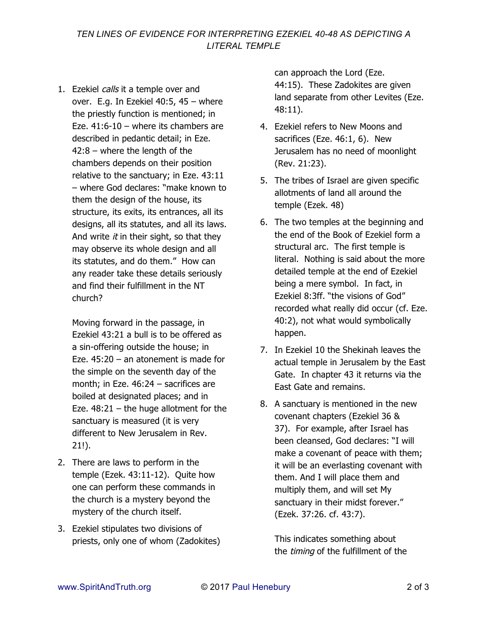1. Ezekiel calls it a temple over and over. E.g. In Ezekiel 40:5, 45 – where the priestly function is mentioned; in Eze.  $41:6-10$  – where its chambers are described in pedantic detail; in Eze. 42:8 – where the length of the chambers depends on their position relative to the sanctuary; in Eze. 43:11 – where God declares: "make known to them the design of the house, its structure, its exits, its entrances, all its designs, all its statutes, and all its laws. And write  $it$  in their sight, so that they may observe its whole design and all its statutes, and do them." How can any reader take these details seriously and find their fulfillment in the NT church?

Moving forward in the passage, in Ezekiel 43:21 a bull is to be offered as a sin-offering outside the house; in Eze. 45:20 – an atonement is made for the simple on the seventh day of the month; in Eze. 46:24 – sacrifices are boiled at designated places; and in Eze.  $48:21 -$  the huge allotment for the sanctuary is measured (it is very different to New Jerusalem in Rev. 21!).

- 2. There are laws to perform in the temple (Ezek. 43:11-12). Quite how one can perform these commands in the church is a mystery beyond the mystery of the church itself.
- 3. Ezekiel stipulates two divisions of priests, only one of whom (Zadokites)

can approach the Lord (Eze. 44:15). These Zadokites are given land separate from other Levites (Eze. 48:11).

- 4. Ezekiel refers to New Moons and sacrifices (Eze. 46:1, 6). New Jerusalem has no need of moonlight (Rev. 21:23).
- 5. The tribes of Israel are given specific allotments of land all around the temple (Ezek. 48)
- 6. The two temples at the beginning and the end of the Book of Ezekiel form a structural arc. The first temple is literal. Nothing is said about the more detailed temple at the end of Ezekiel being a mere symbol. In fact, in Ezekiel 8:3ff. "the visions of God" recorded what really did occur (cf. Eze. 40:2), not what would symbolically happen.
- 7. In Ezekiel 10 the Shekinah leaves the actual temple in Jerusalem by the East Gate. In chapter 43 it returns via the East Gate and remains.
- 8. A sanctuary is mentioned in the new covenant chapters (Ezekiel 36 & 37). For example, after Israel has been cleansed, God declares: "I will make a covenant of peace with them; it will be an everlasting covenant with them. And I will place them and multiply them, and will set My sanctuary in their midst forever." (Ezek. 37:26. cf. 43:7).

This indicates something about the timing of the fulfillment of the